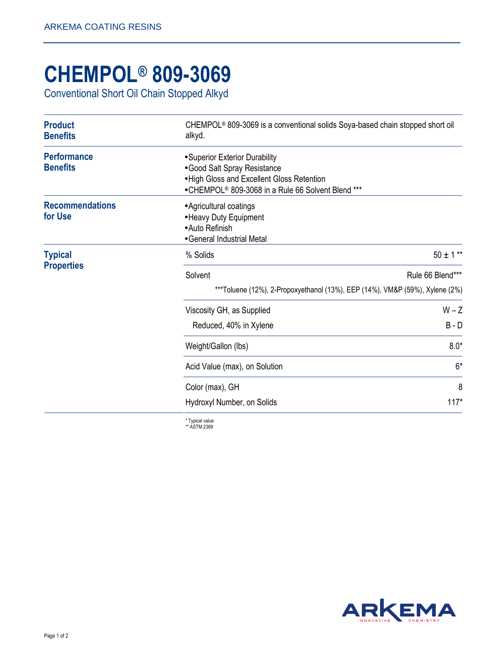## **CHEMPOL® 809-3069**

Conventional Short Oil Chain Stopped Alkyd

| <b>Product</b><br><b>Benefits</b>     | CHEMPOL <sup>®</sup> 809-3069 is a conventional solids Soya-based chain stopped short oil<br>alkyd.                                                                           |               |
|---------------------------------------|-------------------------------------------------------------------------------------------------------------------------------------------------------------------------------|---------------|
| <b>Performance</b><br><b>Benefits</b> | • Superior Exterior Durability<br>• Good Salt Spray Resistance<br>. High Gloss and Excellent Gloss Retention<br>•CHEMPOL <sup>®</sup> 809-3068 in a Rule 66 Solvent Blend *** |               |
| <b>Recommendations</b><br>for Use     | • Agricultural coatings<br>• Heavy Duty Equipment<br>• Auto Refinish<br>• General Industrial Metal                                                                            |               |
| <b>Typical</b>                        | % Solids                                                                                                                                                                      | $50 \pm 1***$ |
| <b>Properties</b>                     | Rule 66 Blend***<br>Solvent<br>***Toluene (12%), 2-Propoxyethanol (13%), EEP (14%), VM&P (59%), Xylene (2%)                                                                   |               |
|                                       | Viscosity GH, as Supplied                                                                                                                                                     | $W - Z$       |
|                                       | Reduced, 40% in Xylene                                                                                                                                                        | $B - D$       |
|                                       | Weight/Gallon (lbs)                                                                                                                                                           | $8.0*$        |
|                                       | Acid Value (max), on Solution                                                                                                                                                 | $6*$          |
|                                       | Color (max), GH                                                                                                                                                               | 8             |
|                                       | Hydroxyl Number, on Solids                                                                                                                                                    | $117*$        |

\* Typical value \*\* ASTM 2369